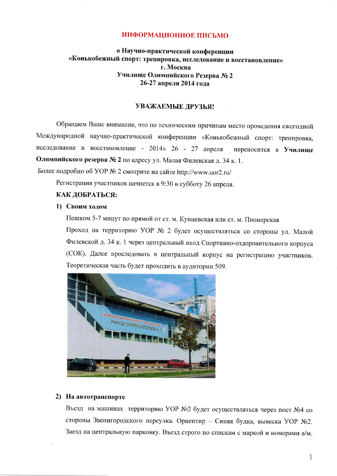### ИНФОРМАЦИОННОЕ ПИСЬМО

# о Научно-практической конференции «Конькобежный спорт: тренировка, исследование и восстановление» г. Москва Училище Олимпийского Резерва № 2 26-27 апреля 2014 года

## УВАЖАЕМЫЕ ДРУЗЬЯ!

Обращаем Ваше внимание, что по техническим причинам место проведения ежегодной Международной научно-практической конференции «Конькобежный спорт: тренировка, исследование и восстановление - 2014» 26 - 27 апреля переносится в Училише Олимпийского резерва № 2 по адресу ул. Малая Филевская д. 34 к. 1. Более подробно об УОР № 2 смотрите на сайте http://www.uor2.ru/

Регистрация участников начнется в 9:30 в субботу 26 апреля.

#### КАК ДОБРАТЬСЯ:

#### 1) Своим ходом

Пешком 5-7 минут по прямой от ст. м. Кунцевская или ст. м. Пионерская

Проход на территорию УОР № 2 будет осуществляться со стороны ул. Малой Филевской д. 34 к. 1 через центральный вход Спортивно-оздоровительного корпуса (СОК). Далее проследовать в центральный корпус на регистрацию участников. Теоретическая часть будет проходить в аудитории 509.



### 2) На автотранспорте

Въезд на машинах территорию УОР №2 будет осуществляться через пост №4 со стороны Звенигородского переулка. Ориентир - Синяя будка, вывеска УОР №2. Заезд на центральную парковку. Въезд строго по спискам с маркой и номерами а/м.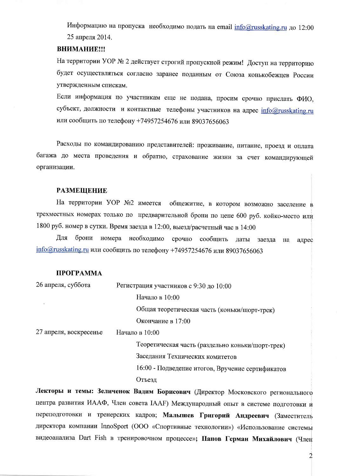Информацию на пропуска необходимо подать на email info@russkating.ru до 12:00 25 апреля 2014.

### ВНИМАНИЕ!!!

На территории УОР № 2 действует строгий пропускной режим! Доступ на территорию будет осуществляться согласно заранее поданным от Союза конькобежцев России утвержденным спискам.

Если информация по участникам еще не подана, просим срочно прислать ФИО, субъект, должности и контактные телефоны участников на адрес info@russkating.ru или сообщить по телефону +74957254676 или 89037656063

Расходы по командированию представителей: проживание, питание, проезд и оплата багажа до места проведения и обратно, страхование жизни за счет командирующей организации.

#### **РАЗМЕЩЕНИЕ**

На территории УОР №2 имеется общежитие, в котором возможно заселение в трехместных номерах только по предварительной брони по цене 600 руб. койко-место или 1800 руб. номер в сутки. Время заезда в 12:00, выезд/расчетный час в 14:00

Лля брони номера необходимо срочно сообщить даты заезда на адрес info@russkating.ru или сообщить по телефону +74957254676 или 89037656063

#### ПРОГРАММА

| 26 апреля, суббота     | Регистрация участников с 9:30 до 10:00           |
|------------------------|--------------------------------------------------|
|                        | Начало в 10:00                                   |
|                        | Общая теоретическая часть (коньки/шорт-трек)     |
|                        | Окончание в 17:00                                |
| 27 апреля, воскресенье | Начало в 10:00                                   |
|                        | Теоретическая часть (раздельно коньки/шорт-трек) |
|                        | Заседания Технических комитетов                  |
|                        | 16:00 - Подведение итогов, Вручение сертификатов |
|                        | Отъезд                                           |
|                        |                                                  |

Лекторы и темы: Зеличенок Вадим Борисович (Директор Московского регионального центра развития ИААФ, Член совета IAAF) Международный опыт в системе подготовки и переподготовки и тренерских кадров; Малышев Григорий Андреевич (Заместитель директора компании InnoSport (ООО «Спортивные технологии») «Использование системы видеоанализа Dart Fish в тренировочном процессе»; Панов Герман Михайлович (Член